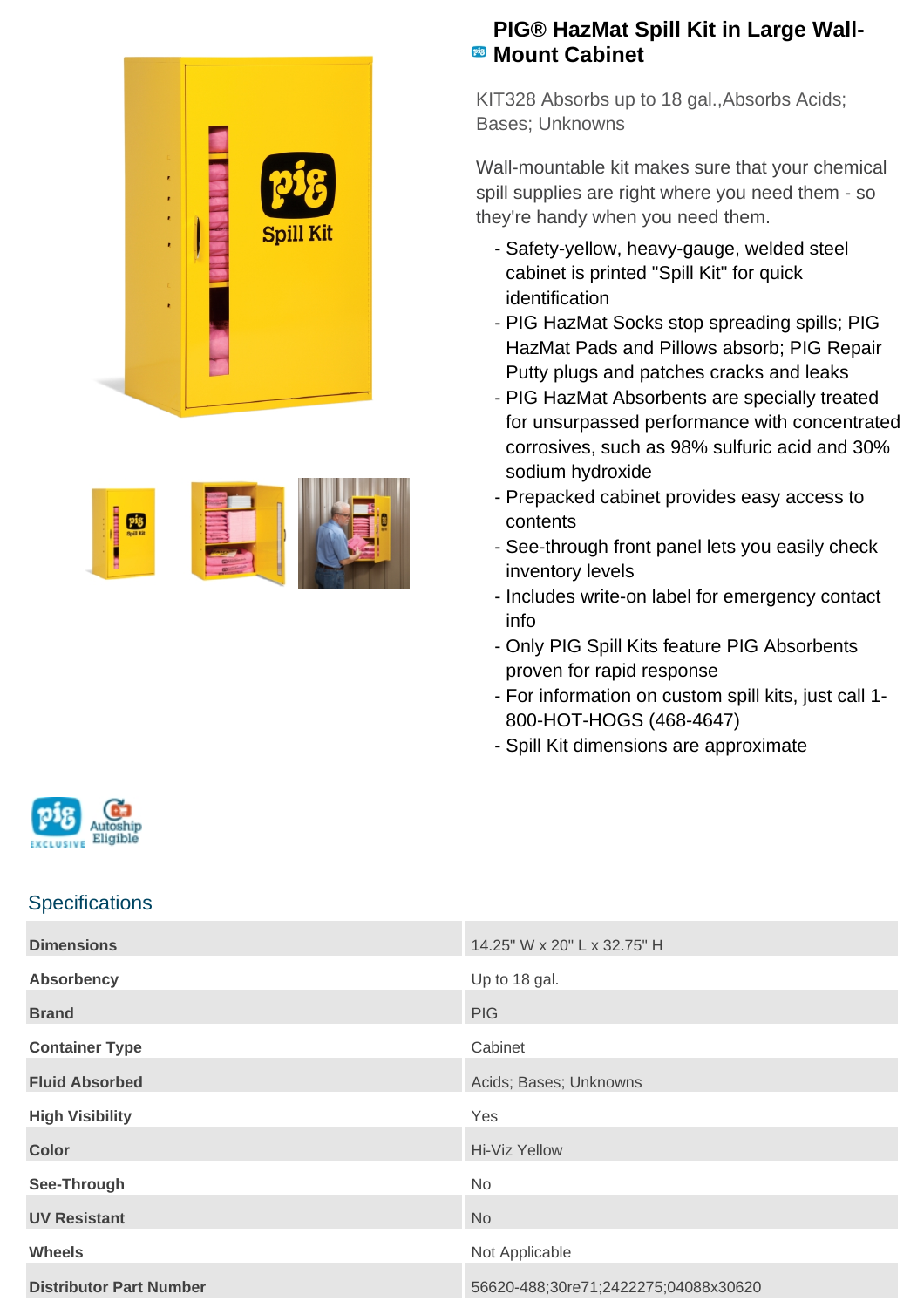



## **PIG® HazMat Spill Kit in Large Wall-Mount Cabinet**

KIT328 Absorbs up to 18 gal.,Absorbs Acids; Bases; Unknowns

Wall-mountable kit makes sure that your chemical spill supplies are right where you need them - so they're handy when you need them.

- Safety-yellow, heavy-gauge, welded steel cabinet is printed "Spill Kit" for quick identification
- PIG HazMat Socks stop spreading spills; PIG HazMat Pads and Pillows absorb; PIG Repair Putty plugs and patches cracks and leaks
- PIG HazMat Absorbents are specially treated for unsurpassed performance with concentrated corrosives, such as 98% sulfuric acid and 30% sodium hydroxide
- Prepacked cabinet provides easy access to contents
- See-through front panel lets you easily check inventory levels
- Includes write-on label for emergency contact info
- Only PIG Spill Kits feature PIG Absorbents proven for rapid response
- For information on custom spill kits, just call 1-800-HOT-HOGS (468-4647)
- Spill Kit dimensions are approximate



## **Specifications**

| <b>Dimensions</b>              | 14.25" W x 20" L x 32.75" H          |
|--------------------------------|--------------------------------------|
| <b>Absorbency</b>              | Up to 18 gal.                        |
| <b>Brand</b>                   | <b>PIG</b>                           |
| <b>Container Type</b>          | Cabinet                              |
| <b>Fluid Absorbed</b>          | Acids; Bases; Unknowns               |
| <b>High Visibility</b>         | Yes                                  |
| <b>Color</b>                   | Hi-Viz Yellow                        |
| See-Through                    | <b>No</b>                            |
| <b>UV Resistant</b>            | <b>No</b>                            |
| <b>Wheels</b>                  | Not Applicable                       |
| <b>Distributor Part Number</b> | 56620-488;30re71;2422275;04088x30620 |